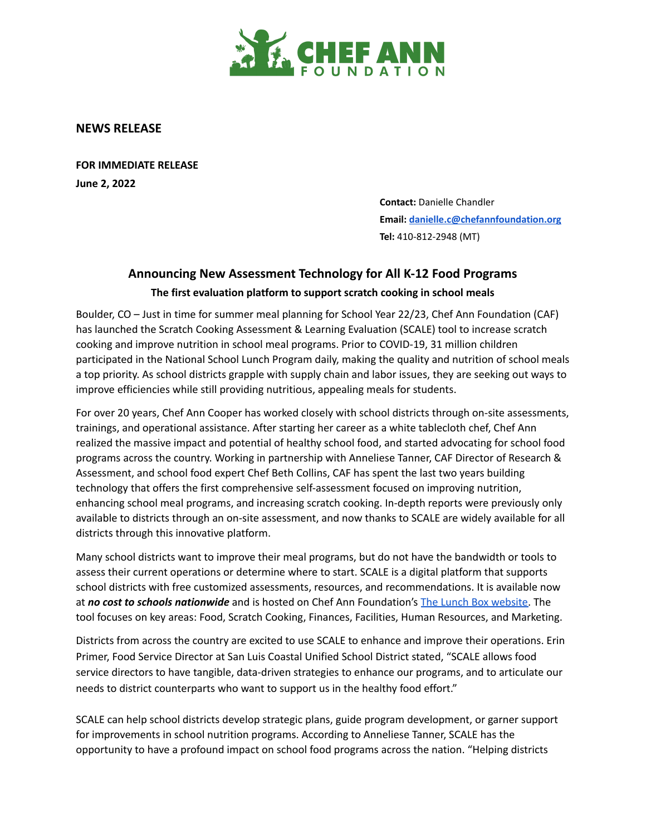

## **NEWS RELEASE**

**FOR IMMEDIATE RELEASE June 2, 2022**

> **Contact:** Danielle Chandler **Email: [danielle.c@chefannfoundation.org](mailto:danielle.c@chefannfoundation.org) Tel:** 410-812-2948 (MT)

## **Announcing New Assessment Technology for All K-12 Food Programs The first evaluation platform to support scratch cooking in school meals**

Boulder, CO – Just in time for summer meal planning for School Year 22/23, Chef Ann Foundation (CAF) has launched the Scratch Cooking Assessment & Learning Evaluation (SCALE) tool to increase scratch cooking and improve nutrition in school meal programs. Prior to COVID-19, 31 million children participated in the National School Lunch Program daily, making the quality and nutrition of school meals a top priority. As school districts grapple with supply chain and labor issues, they are seeking out ways to improve efficiencies while still providing nutritious, appealing meals for students.

For over 20 years, Chef Ann Cooper has worked closely with school districts through on-site assessments, trainings, and operational assistance. After starting her career as a white tablecloth chef, Chef Ann realized the massive impact and potential of healthy school food, and started advocating for school food programs across the country. Working in partnership with Anneliese Tanner, CAF Director of Research & Assessment, and school food expert Chef Beth Collins, CAF has spent the last two years building technology that offers the first comprehensive self-assessment focused on improving nutrition, enhancing school meal programs, and increasing scratch cooking. In-depth reports were previously only available to districts through an on-site assessment, and now thanks to SCALE are widely available for all districts through this innovative platform.

Many school districts want to improve their meal programs, but do not have the bandwidth or tools to assess their current operations or determine where to start. SCALE is a digital platform that supports school districts with free customized assessments, resources, and recommendations. It is available now at *no cost to schools nationwide* and is hosted on Chef Ann Foundation's The Lunch Box [website.](https://www.thelunchbox.org/scale) The tool focuses on key areas: Food, Scratch Cooking, Finances, Facilities, Human Resources, and Marketing.

Districts from across the country are excited to use SCALE to enhance and improve their operations. Erin Primer, Food Service Director at San Luis Coastal Unified School District stated, "SCALE allows food service directors to have tangible, data-driven strategies to enhance our programs, and to articulate our needs to district counterparts who want to support us in the healthy food effort."

SCALE can help school districts develop strategic plans, guide program development, or garner support for improvements in school nutrition programs. According to Anneliese Tanner, SCALE has the opportunity to have a profound impact on school food programs across the nation. "Helping districts